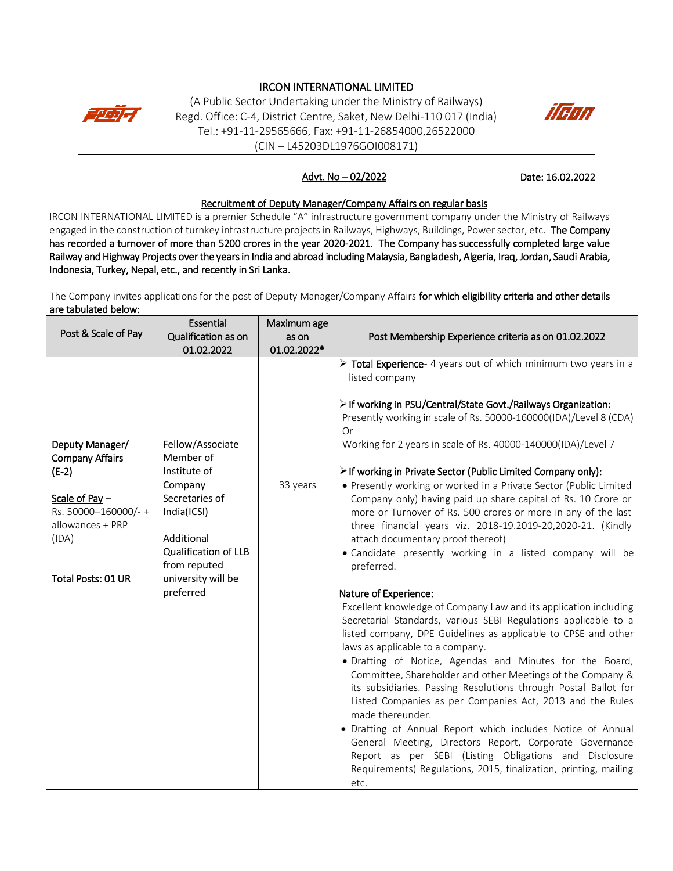# IRCON INTERNATIONAL LIMITED



(A Public Sector Undertaking under the Ministry of Railways) Regd. Office: C-4, District Centre, Saket, New Delhi-110 017 (India) Tel.: +91-11-29565666, Fax: +91-11-26854000,26522000 (CIN – L45203DL1976GOI008171)



## Advt. No – 02/2022

Date: 16.02.2022

#### Recruitment of Deputy Manager/Company Affairs on regular basis

IRCON INTERNATIONAL LIMITED is a premier Schedule "A" infrastructure government company under the Ministry of Railways engaged in the construction of turnkey infrastructure projects in Railways, Highways, Buildings, Power sector, etc. The Company has recorded a turnover of more than 5200 crores in the year 2020-2021. The Company has successfully completed large value Railway and Highway Projects over the years in India and abroad including Malaysia, Bangladesh, Algeria, Iraq, Jordan, Saudi Arabia, Indonesia, Turkey, Nepal, etc., and recently in Sri Lanka.

The Company invites applications for the post of Deputy Manager/Company Affairs for which eligibility criteria and other details are tabulated below:

|                                                                                                                                                    | Essential                                                                                                                                                                                 | Maximum age |                                                                                                                                                                                                                                                                                                                                                                                                                                                                                                                                                                                                                                                                                                                                                                                                                                                                                                                                                                                                                                                                                                                                                                                                                                                                                                                                                                                                                                                                                                                                                                                 |
|----------------------------------------------------------------------------------------------------------------------------------------------------|-------------------------------------------------------------------------------------------------------------------------------------------------------------------------------------------|-------------|---------------------------------------------------------------------------------------------------------------------------------------------------------------------------------------------------------------------------------------------------------------------------------------------------------------------------------------------------------------------------------------------------------------------------------------------------------------------------------------------------------------------------------------------------------------------------------------------------------------------------------------------------------------------------------------------------------------------------------------------------------------------------------------------------------------------------------------------------------------------------------------------------------------------------------------------------------------------------------------------------------------------------------------------------------------------------------------------------------------------------------------------------------------------------------------------------------------------------------------------------------------------------------------------------------------------------------------------------------------------------------------------------------------------------------------------------------------------------------------------------------------------------------------------------------------------------------|
| Post & Scale of Pay                                                                                                                                | Qualification as on                                                                                                                                                                       | as on       | Post Membership Experience criteria as on 01.02.2022                                                                                                                                                                                                                                                                                                                                                                                                                                                                                                                                                                                                                                                                                                                                                                                                                                                                                                                                                                                                                                                                                                                                                                                                                                                                                                                                                                                                                                                                                                                            |
|                                                                                                                                                    | 01.02.2022                                                                                                                                                                                | 01.02.2022* |                                                                                                                                                                                                                                                                                                                                                                                                                                                                                                                                                                                                                                                                                                                                                                                                                                                                                                                                                                                                                                                                                                                                                                                                                                                                                                                                                                                                                                                                                                                                                                                 |
| Deputy Manager/<br><b>Company Affairs</b><br>$(E-2)$<br>Scale of Pay $-$<br>Rs. 50000-160000/-+<br>allowances + PRP<br>(IDA)<br>Total Posts: 01 UR | Fellow/Associate<br>Member of<br>Institute of<br>Company<br>Secretaries of<br>India(ICSI)<br>Additional<br><b>Qualification of LLB</b><br>from reputed<br>university will be<br>preferred | 33 years    | Total Experience- 4 years out of which minimum two years in a<br>listed company<br>> If working in PSU/Central/State Govt./Railways Organization:<br>Presently working in scale of Rs. 50000-160000(IDA)/Level 8 (CDA)<br><b>Or</b><br>Working for 2 years in scale of Rs. 40000-140000(IDA)/Level 7<br>> If working in Private Sector (Public Limited Company only):<br>• Presently working or worked in a Private Sector (Public Limited<br>Company only) having paid up share capital of Rs. 10 Crore or<br>more or Turnover of Rs. 500 crores or more in any of the last<br>three financial years viz. 2018-19.2019-20,2020-21. (Kindly<br>attach documentary proof thereof)<br>• Candidate presently working in a listed company will be<br>preferred.<br>Nature of Experience:<br>Excellent knowledge of Company Law and its application including<br>Secretarial Standards, various SEBI Regulations applicable to a<br>listed company, DPE Guidelines as applicable to CPSE and other<br>laws as applicable to a company.<br>· Drafting of Notice, Agendas and Minutes for the Board,<br>Committee, Shareholder and other Meetings of the Company &<br>its subsidiaries. Passing Resolutions through Postal Ballot for<br>Listed Companies as per Companies Act, 2013 and the Rules<br>made thereunder.<br>· Drafting of Annual Report which includes Notice of Annual<br>General Meeting, Directors Report, Corporate Governance<br>Report as per SEBI (Listing Obligations and Disclosure<br>Requirements) Regulations, 2015, finalization, printing, mailing<br>etc. |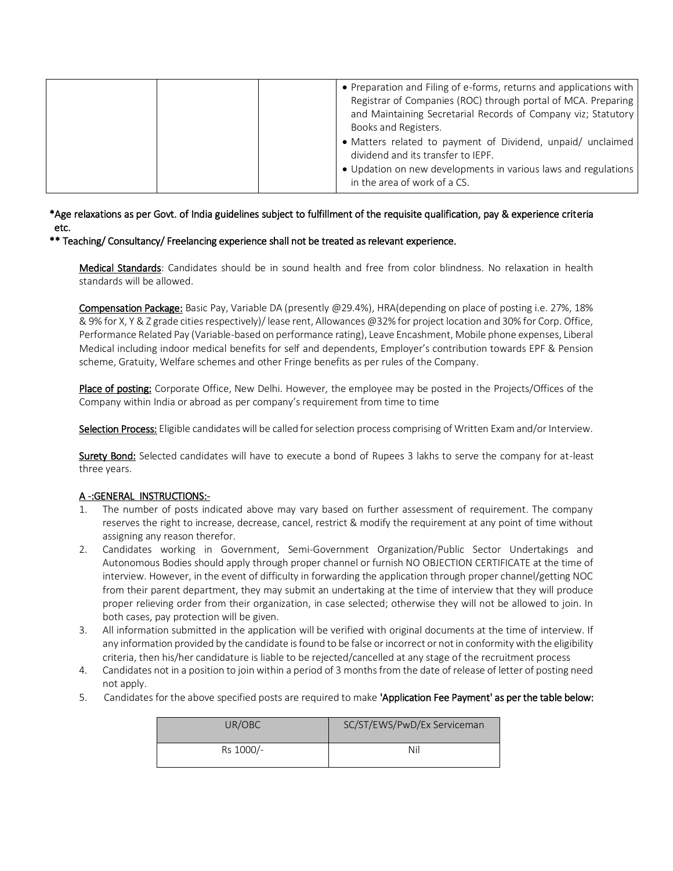\*Age relaxations as per Govt. of India guidelines subject to fulfillment of the requisite qualification, pay & experience criteria etc.

\*\* Teaching/ Consultancy/ Freelancing experience shall not be treated as relevant experience.

Medical Standards: Candidates should be in sound health and free from color blindness. No relaxation in health standards will be allowed.

Compensation Package: Basic Pay, Variable DA (presently @29.4%), HRA(depending on place of posting i.e. 27%, 18% & 9% for X, Y & Z grade cities respectively)/ lease rent, Allowances @32% for project location and 30% for Corp. Office, Performance Related Pay (Variable-based on performance rating), Leave Encashment, Mobile phone expenses, Liberal Medical including indoor medical benefits for self and dependents, Employer's contribution towards EPF & Pension scheme, Gratuity, Welfare schemes and other Fringe benefits as per rules of the Company.

Place of posting: Corporate Office, New Delhi. However, the employee may be posted in the Projects/Offices of the Company within India or abroad as per company's requirement from time to time

Selection Process: Eligible candidates will be called for selection process comprising of Written Exam and/or Interview.

Surety Bond: Selected candidates will have to execute a bond of Rupees 3 lakhs to serve the company for at-least three years.

#### A -:GENERAL INSTRUCTIONS:-

- 1. The number of posts indicated above may vary based on further assessment of requirement. The company reserves the right to increase, decrease, cancel, restrict & modify the requirement at any point of time without assigning any reason therefor.
- 2. Candidates working in Government, Semi-Government Organization/Public Sector Undertakings and Autonomous Bodies should apply through proper channel or furnish NO OBJECTION CERTIFICATE at the time of interview. However, in the event of difficulty in forwarding the application through proper channel/getting NOC from their parent department, they may submit an undertaking at the time of interview that they will produce proper relieving order from their organization, in case selected; otherwise they will not be allowed to join. In both cases, pay protection will be given.
- 3. All information submitted in the application will be verified with original documents at the time of interview. If any information provided by the candidate is found to be false or incorrect or not in conformity with the eligibility criteria, then his/her candidature is liable to be rejected/cancelled at any stage of the recruitment process
- 4. Candidates not in a position to join within a period of 3 months from the date of release of letter of posting need not apply.
- 5. Candidates for the above specified posts are required to make 'Application Fee Payment' as per the table below:

| UR/OBC    | SC/ST/EWS/PwD/Ex Serviceman |
|-----------|-----------------------------|
| Rs 1000/- | Nil                         |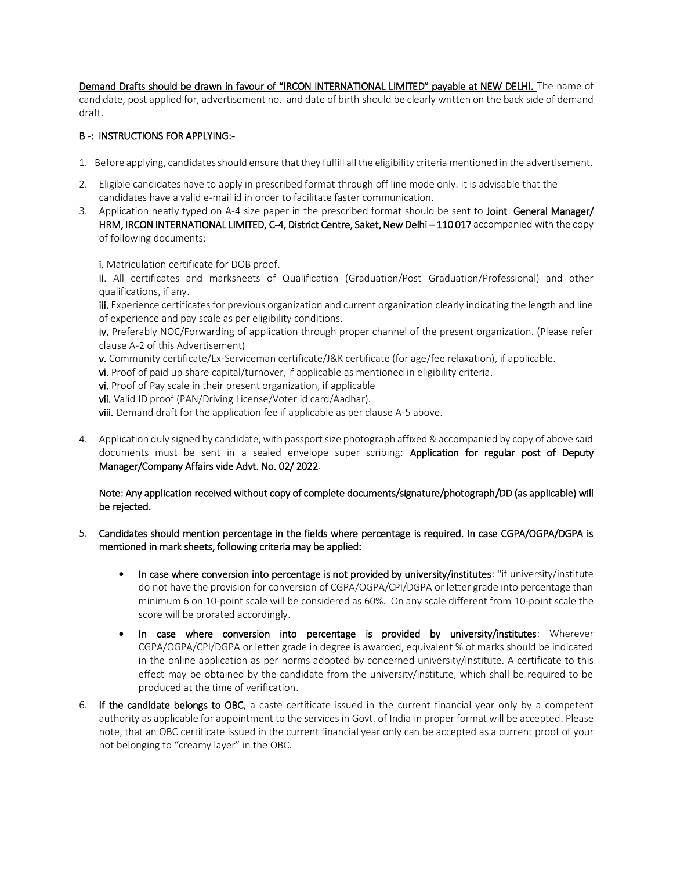Demand Drafts should be drawn in favour of "IRCON INTERNATIONAL LIMITED" payable at NEW DELHI. The name of candidate, post applied for, advertisement no. and date of birth should be clearly written on the back side of demand draft.

## B -: INSTRUCTIONS FOR APPLYING:-

- 1. Before applying, candidates should ensure that they fulfill all the eligibility criteria mentioned in the advertisement.
- 2. Eligible candidates have to apply in prescribed format through off line mode only. It is advisable that the candidates have a valid e-mail id in order to facilitate faster communication.
- 3. Application neatly typed on A-4 size paper in the prescribed format should be sent to Joint General Manager/ HRM, IRCON INTERNATIONAL LIMITED, C-4, District Centre, Saket, New Delhi - 110 017 accompanied with the copy of following documents:

i. Matriculation certificate for DOB proof.

ii. All certificates and marksheets of Qualification (Graduation/Post Graduation/Professional) and other qualifications, if any.

iii. Experience certificates for previous organization and current organization clearly indicating the length and line of experience and pay scale as per eligibility conditions.

iv. Preferably NOC/Forwarding of application through proper channel of the present organization. (Please refer clause A-2 of this Advertisement)

- v. Community certificate/Ex-Serviceman certificate/J&K certificate (for age/fee relaxation), if applicable.
- vi. Proof of paid up share capital/turnover, if applicable as mentioned in eligibility criteria.
- vi. Proof of Pay scale in their present organization, if applicable

vii. Valid ID proof (PAN/Driving License/Voter id card/Aadhar).

viii. Demand draft for the application fee if applicable as per clause A-5 above.

4. Application duly signed by candidate, with passport size photograph affixed & accompanied by copy of above said documents must be sent in a sealed envelope super scribing: Application for regular post of Deputy Manager/Company Affairs vide Advt. No. 02/ 2022.

### Note: Any application received without copy of complete documents/signature/photograph/DD (as applicable) will be rejected.

- 5. Candidates should mention percentage in the fields where percentage is required. In case CGPA/OGPA/DGPA is mentioned in mark sheets, following criteria may be applied:
	- In case where conversion into percentage is not provided by university/institutes: "if university/institute do not have the provision for conversion of CGPA/OGPA/CPI/DGPA or letter grade into percentage than minimum 6 on 10-point scale will be considered as 60%. On any scale different from 10-point scale the score will be prorated accordingly.
	- In case where conversion into percentage is provided by university/institutes: Wherever CGPA/OGPA/CPI/DGPA or letter grade in degree is awarded, equivalent % of marks should be indicated in the online application as per norms adopted by concerned university/institute. A certificate to this effect may be obtained by the candidate from the university/institute, which shall be required to be produced at the time of verification.
- 6. If the candidate belongs to OBC, a caste certificate issued in the current financial year only by a competent authority as applicable for appointment to the services in Govt. of India in proper format will be accepted. Please note, that an OBC certificate issued in the current financial year only can be accepted as a current proof of your not belonging to "creamy layer" in the OBC.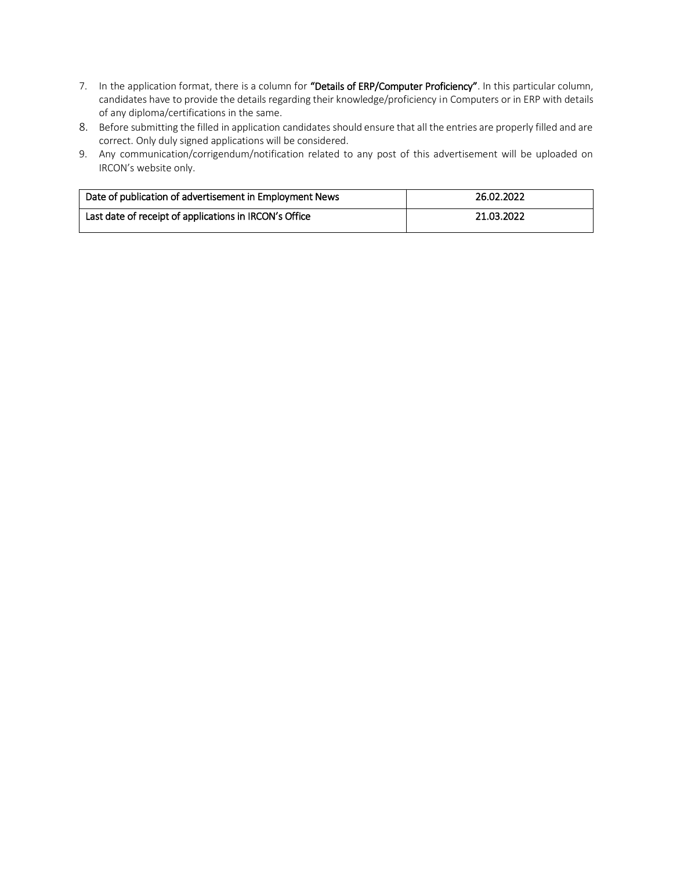- 7. In the application format, there is a column for "Details of ERP/Computer Proficiency". In this particular column, candidates have to provide the details regarding their knowledge/proficiency in Computers or in ERP with details of any diploma/certifications in the same.
- 8. Before submitting the filled in application candidates should ensure that all the entries are properly filled and are correct. Only duly signed applications will be considered.
- 9. Any communication/corrigendum/notification related to any post of this advertisement will be uploaded on IRCON's website only.

| Date of publication of advertisement in Employment News | 26.02.2022 |
|---------------------------------------------------------|------------|
| Last date of receipt of applications in IRCON's Office  | 21.03.2022 |